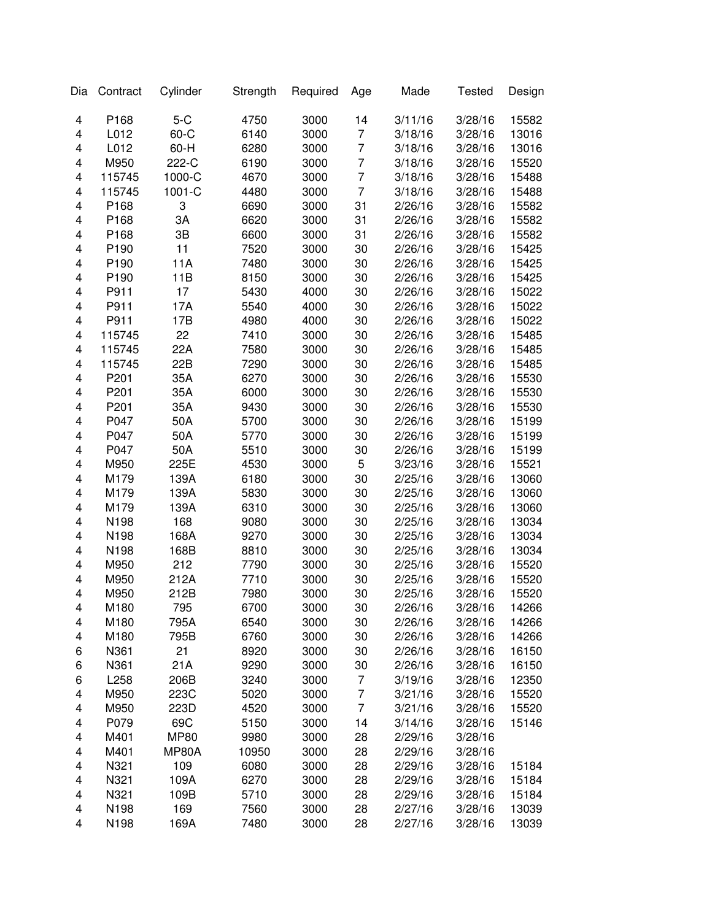| Dia                     | Contract         | Cylinder     | Strength | Required | Age            | Made    | <b>Tested</b> | Design |
|-------------------------|------------------|--------------|----------|----------|----------------|---------|---------------|--------|
| 4                       | P168             | $5-C$        | 4750     | 3000     | 14             | 3/11/16 | 3/28/16       | 15582  |
| 4                       | L012             | $60-C$       | 6140     | 3000     | $\overline{7}$ | 3/18/16 | 3/28/16       | 13016  |
| 4                       | L012             | $60-H$       | 6280     | 3000     | $\overline{7}$ | 3/18/16 | 3/28/16       | 13016  |
| 4                       | M950             | 222-C        | 6190     | 3000     | $\overline{7}$ | 3/18/16 | 3/28/16       | 15520  |
| 4                       | 115745           | 1000-C       | 4670     | 3000     | $\overline{7}$ | 3/18/16 | 3/28/16       | 15488  |
| 4                       | 115745           | 1001-C       | 4480     | 3000     | $\overline{7}$ | 3/18/16 | 3/28/16       | 15488  |
| 4                       | P168             | 3            | 6690     | 3000     | 31             | 2/26/16 | 3/28/16       | 15582  |
| 4                       | P168             | 3A           | 6620     | 3000     | 31             | 2/26/16 | 3/28/16       | 15582  |
| 4                       | P168             | 3B           | 6600     | 3000     | 31             | 2/26/16 | 3/28/16       | 15582  |
| 4                       | P <sub>190</sub> | 11           | 7520     | 3000     | 30             | 2/26/16 | 3/28/16       | 15425  |
| 4                       | P <sub>190</sub> | 11A          | 7480     | 3000     | 30             | 2/26/16 | 3/28/16       | 15425  |
| 4                       | P <sub>190</sub> | 11B          | 8150     | 3000     | 30             | 2/26/16 | 3/28/16       | 15425  |
| 4                       | P911             | 17           | 5430     | 4000     | 30             | 2/26/16 | 3/28/16       | 15022  |
| 4                       | P911             | 17A          | 5540     | 4000     | 30             | 2/26/16 | 3/28/16       | 15022  |
| $\overline{\mathbf{4}}$ | P911             | 17B          | 4980     | 4000     | 30             | 2/26/16 | 3/28/16       | 15022  |
| $\overline{\mathbf{4}}$ | 115745           | 22           | 7410     | 3000     | 30             | 2/26/16 | 3/28/16       | 15485  |
| $\overline{\mathbf{4}}$ | 115745           | 22A          | 7580     | 3000     | 30             | 2/26/16 | 3/28/16       | 15485  |
| $\overline{\mathbf{4}}$ | 115745           | 22B          | 7290     | 3000     | 30             | 2/26/16 | 3/28/16       | 15485  |
| $\overline{\mathbf{4}}$ | P201             | 35A          | 6270     | 3000     | 30             | 2/26/16 | 3/28/16       | 15530  |
| 4                       | P201             | 35A          | 6000     | 3000     | 30             | 2/26/16 | 3/28/16       | 15530  |
| 4                       | P201             | 35A          | 9430     | 3000     | 30             | 2/26/16 | 3/28/16       | 15530  |
| 4                       | P047             | 50A          | 5700     | 3000     | 30             | 2/26/16 | 3/28/16       | 15199  |
| 4                       | P047             | 50A          | 5770     | 3000     | 30             | 2/26/16 | 3/28/16       | 15199  |
| 4                       | P047             | 50A          | 5510     | 3000     | 30             | 2/26/16 | 3/28/16       | 15199  |
| 4                       | M950             | 225E         | 4530     | 3000     | 5              | 3/23/16 | 3/28/16       | 15521  |
| 4                       | M179             | 139A         | 6180     | 3000     | 30             | 2/25/16 | 3/28/16       | 13060  |
| 4                       | M179             | 139A         | 5830     | 3000     | 30             | 2/25/16 | 3/28/16       | 13060  |
| $\overline{\mathbf{4}}$ | M179             | 139A         | 6310     | 3000     | 30             | 2/25/16 | 3/28/16       | 13060  |
| $\overline{\mathbf{4}}$ | N198             | 168          | 9080     | 3000     | 30             | 2/25/16 | 3/28/16       | 13034  |
| 4                       | N198             | 168A         | 9270     | 3000     | 30             | 2/25/16 | 3/28/16       | 13034  |
| 4                       |                  | 168B         |          | 3000     | 30             |         |               |        |
| $\overline{\mathbf{4}}$ | N198<br>M950     | 212          | 8810     | 3000     | 30             | 2/25/16 | 3/28/16       | 13034  |
| $\overline{\mathbf{4}}$ |                  |              | 7790     |          |                | 2/25/16 | 3/28/16       | 15520  |
|                         | M950             | 212A         | 7710     | 3000     | 30             | 2/25/16 | 3/28/16       | 15520  |
| 4                       | M950<br>M180     | 212B         | 7980     | 3000     | 30             | 2/25/16 | 3/28/16       | 15520  |
| 4                       |                  | 795          | 6700     | 3000     | 30             | 2/26/16 | 3/28/16       | 14266  |
| 4                       | M180             | 795A         | 6540     | 3000     | 30             | 2/26/16 | 3/28/16       | 14266  |
| 4                       | M180             | 795B         | 6760     | 3000     | 30             | 2/26/16 | 3/28/16       | 14266  |
| 6                       | N361             | 21           | 8920     | 3000     | 30             | 2/26/16 | 3/28/16       | 16150  |
| 6                       | N361             | 21A          | 9290     | 3000     | 30             | 2/26/16 | 3/28/16       | 16150  |
| 6                       | L258             | 206B         | 3240     | 3000     | 7              | 3/19/16 | 3/28/16       | 12350  |
| 4                       | M950             | 223C         | 5020     | 3000     | 7              | 3/21/16 | 3/28/16       | 15520  |
| 4                       | M950             | 223D         | 4520     | 3000     | $\overline{7}$ | 3/21/16 | 3/28/16       | 15520  |
| 4                       | P079             | 69C          | 5150     | 3000     | 14             | 3/14/16 | 3/28/16       | 15146  |
| 4                       | M401             | <b>MP80</b>  | 9980     | 3000     | 28             | 2/29/16 | 3/28/16       |        |
| 4                       | M401             | <b>MP80A</b> | 10950    | 3000     | 28             | 2/29/16 | 3/28/16       |        |
| 4                       | N321             | 109          | 6080     | 3000     | 28             | 2/29/16 | 3/28/16       | 15184  |
| 4                       | N321             | 109A         | 6270     | 3000     | 28             | 2/29/16 | 3/28/16       | 15184  |
| 4                       | N321             | 109B         | 5710     | 3000     | 28             | 2/29/16 | 3/28/16       | 15184  |
| $\overline{\mathbf{4}}$ | N198             | 169          | 7560     | 3000     | 28             | 2/27/16 | 3/28/16       | 13039  |
| 4                       | N198             | 169A         | 7480     | 3000     | 28             | 2/27/16 | 3/28/16       | 13039  |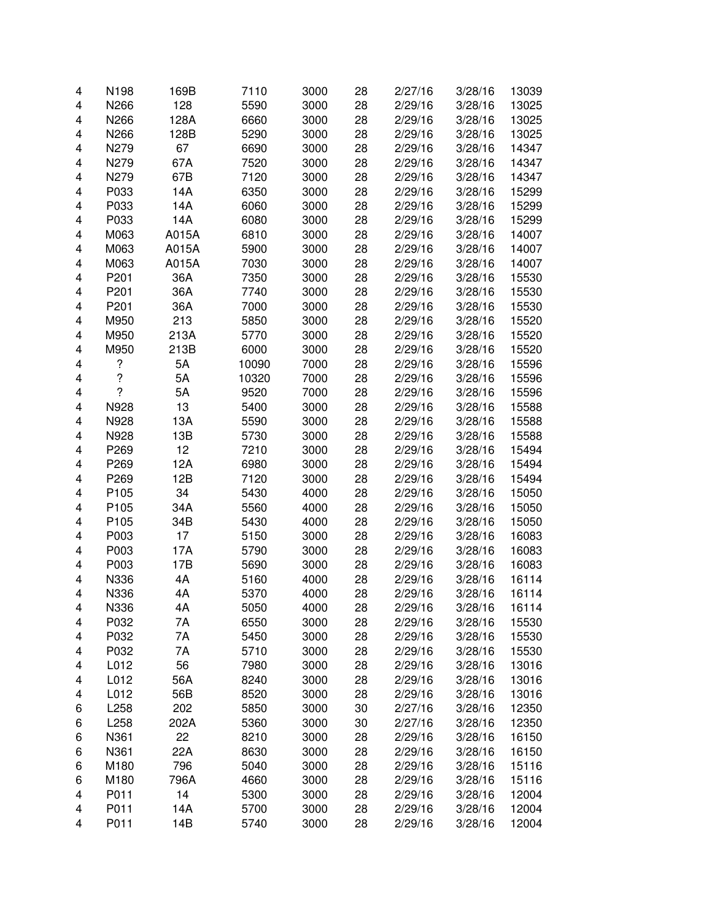| 4 | N198                     | 169B  | 7110  | 3000 | 28 | 2/27/16 | 3/28/16 | 13039 |
|---|--------------------------|-------|-------|------|----|---------|---------|-------|
| 4 | N266                     | 128   | 5590  | 3000 | 28 | 2/29/16 | 3/28/16 | 13025 |
| 4 | N266                     | 128A  | 6660  | 3000 | 28 | 2/29/16 | 3/28/16 | 13025 |
| 4 | N266                     | 128B  | 5290  | 3000 | 28 | 2/29/16 | 3/28/16 | 13025 |
| 4 | N279                     | 67    | 6690  | 3000 | 28 | 2/29/16 | 3/28/16 | 14347 |
| 4 | N279                     | 67A   | 7520  | 3000 | 28 | 2/29/16 | 3/28/16 | 14347 |
| 4 | N279                     | 67B   | 7120  |      | 28 | 2/29/16 |         |       |
|   |                          |       |       | 3000 |    |         | 3/28/16 | 14347 |
| 4 | P033                     | 14A   | 6350  | 3000 | 28 | 2/29/16 | 3/28/16 | 15299 |
| 4 | P033                     | 14A   | 6060  | 3000 | 28 | 2/29/16 | 3/28/16 | 15299 |
| 4 | P033                     | 14A   | 6080  | 3000 | 28 | 2/29/16 | 3/28/16 | 15299 |
| 4 | M063                     | A015A | 6810  | 3000 | 28 | 2/29/16 | 3/28/16 | 14007 |
| 4 | M063                     | A015A | 5900  | 3000 | 28 | 2/29/16 | 3/28/16 | 14007 |
| 4 | M063                     | A015A | 7030  | 3000 | 28 | 2/29/16 | 3/28/16 | 14007 |
| 4 | P201                     | 36A   | 7350  | 3000 | 28 | 2/29/16 | 3/28/16 | 15530 |
| 4 | P201                     | 36A   | 7740  | 3000 | 28 | 2/29/16 | 3/28/16 | 15530 |
| 4 | P201                     | 36A   | 7000  | 3000 | 28 | 2/29/16 | 3/28/16 | 15530 |
| 4 | M950                     | 213   | 5850  | 3000 | 28 | 2/29/16 | 3/28/16 | 15520 |
| 4 | M950                     | 213A  | 5770  | 3000 | 28 | 2/29/16 | 3/28/16 | 15520 |
| 4 | M950                     | 213B  | 6000  | 3000 | 28 | 2/29/16 | 3/28/16 | 15520 |
| 4 | ?                        | 5A    | 10090 | 7000 | 28 | 2/29/16 | 3/28/16 | 15596 |
| 4 | $\overline{\mathcal{C}}$ | 5A    | 10320 | 7000 | 28 | 2/29/16 | 3/28/16 | 15596 |
| 4 | ?                        | 5A    | 9520  | 7000 | 28 | 2/29/16 | 3/28/16 | 15596 |
|   |                          |       |       |      |    | 2/29/16 | 3/28/16 |       |
| 4 | N928                     | 13    | 5400  | 3000 | 28 |         |         | 15588 |
| 4 | N928                     | 13A   | 5590  | 3000 | 28 | 2/29/16 | 3/28/16 | 15588 |
| 4 | N928                     | 13B   | 5730  | 3000 | 28 | 2/29/16 | 3/28/16 | 15588 |
| 4 | P269                     | 12    | 7210  | 3000 | 28 | 2/29/16 | 3/28/16 | 15494 |
| 4 | P269                     | 12A   | 6980  | 3000 | 28 | 2/29/16 | 3/28/16 | 15494 |
| 4 | P269                     | 12B   | 7120  | 3000 | 28 | 2/29/16 | 3/28/16 | 15494 |
| 4 | P <sub>105</sub>         | 34    | 5430  | 4000 | 28 | 2/29/16 | 3/28/16 | 15050 |
| 4 | P <sub>105</sub>         | 34A   | 5560  | 4000 | 28 | 2/29/16 | 3/28/16 | 15050 |
| 4 | P <sub>105</sub>         | 34B   | 5430  | 4000 | 28 | 2/29/16 | 3/28/16 | 15050 |
| 4 | P003                     | 17    | 5150  | 3000 | 28 | 2/29/16 | 3/28/16 | 16083 |
| 4 | P003                     | 17A   | 5790  | 3000 | 28 | 2/29/16 | 3/28/16 | 16083 |
| 4 | P003                     | 17B   | 5690  | 3000 | 28 | 2/29/16 | 3/28/16 | 16083 |
| 4 | N336                     | 4A    | 5160  | 4000 | 28 | 2/29/16 | 3/28/16 | 16114 |
| 4 | N336                     | 4A    | 5370  | 4000 | 28 | 2/29/16 | 3/28/16 | 16114 |
| 4 | N336                     | 4A    | 5050  | 4000 | 28 | 2/29/16 | 3/28/16 | 16114 |
| 4 | P032                     | 7A    | 6550  | 3000 | 28 | 2/29/16 | 3/28/16 | 15530 |
| 4 | P032                     | 7A    | 5450  | 3000 | 28 | 2/29/16 | 3/28/16 | 15530 |
| 4 | P032                     | 7A    | 5710  | 3000 | 28 | 2/29/16 | 3/28/16 | 15530 |
|   |                          |       |       | 3000 | 28 |         |         | 13016 |
| 4 | L012                     | 56    | 7980  |      |    | 2/29/16 | 3/28/16 |       |
| 4 | L012                     | 56A   | 8240  | 3000 | 28 | 2/29/16 | 3/28/16 | 13016 |
| 4 | L012                     | 56B   | 8520  | 3000 | 28 | 2/29/16 | 3/28/16 | 13016 |
| 6 | L258                     | 202   | 5850  | 3000 | 30 | 2/27/16 | 3/28/16 | 12350 |
| 6 | L258                     | 202A  | 5360  | 3000 | 30 | 2/27/16 | 3/28/16 | 12350 |
| 6 | N361                     | 22    | 8210  | 3000 | 28 | 2/29/16 | 3/28/16 | 16150 |
| 6 | N361                     | 22A   | 8630  | 3000 | 28 | 2/29/16 | 3/28/16 | 16150 |
| 6 | M180                     | 796   | 5040  | 3000 | 28 | 2/29/16 | 3/28/16 | 15116 |
| 6 | M180                     | 796A  | 4660  | 3000 | 28 | 2/29/16 | 3/28/16 | 15116 |
| 4 | P011                     | 14    | 5300  | 3000 | 28 | 2/29/16 | 3/28/16 | 12004 |
| 4 | P011                     | 14A   | 5700  | 3000 | 28 | 2/29/16 | 3/28/16 | 12004 |
| 4 | P011                     | 14B   | 5740  | 3000 | 28 | 2/29/16 | 3/28/16 | 12004 |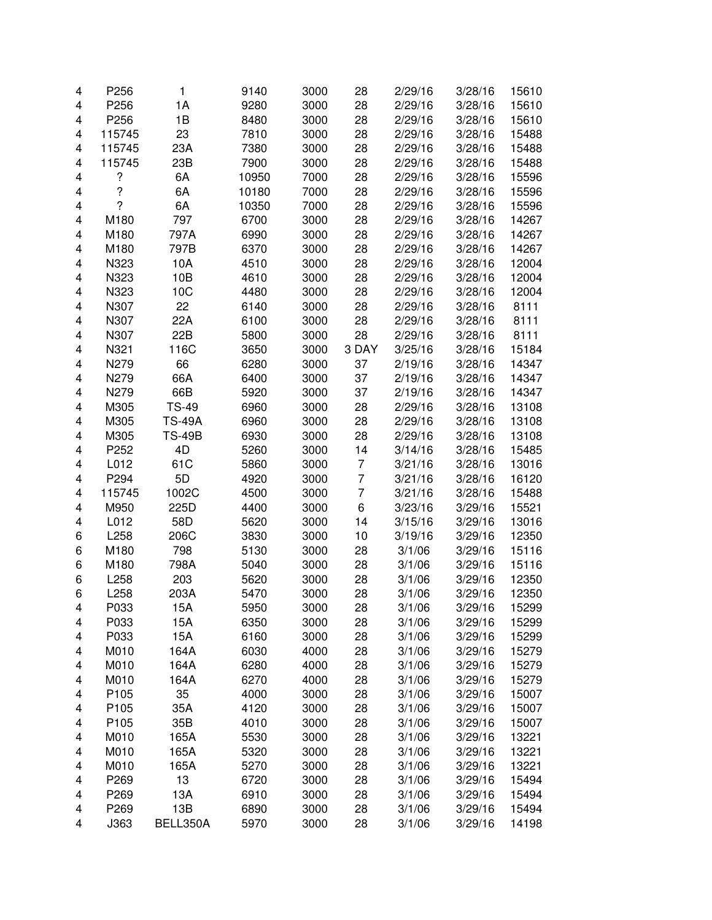| 4 | P256   | $\mathbf{1}$  | 9140  | 3000 | 28             | 2/29/16 | 3/28/16 | 15610 |
|---|--------|---------------|-------|------|----------------|---------|---------|-------|
| 4 | P256   | 1A            | 9280  | 3000 | 28             | 2/29/16 | 3/28/16 | 15610 |
| 4 | P256   | 1B            | 8480  | 3000 | 28             | 2/29/16 | 3/28/16 | 15610 |
| 4 | 115745 | 23            | 7810  | 3000 | 28             | 2/29/16 | 3/28/16 | 15488 |
| 4 | 115745 | 23A           | 7380  | 3000 | 28             | 2/29/16 | 3/28/16 | 15488 |
| 4 | 115745 | 23B           | 7900  | 3000 | 28             | 2/29/16 | 3/28/16 | 15488 |
| 4 | ?      | 6A            | 10950 | 7000 | 28             | 2/29/16 | 3/28/16 | 15596 |
| 4 | ?      | 6A            | 10180 | 7000 | 28             | 2/29/16 | 3/28/16 | 15596 |
| 4 | ?      | 6A            | 10350 | 7000 | 28             | 2/29/16 | 3/28/16 | 15596 |
| 4 | M180   | 797           | 6700  | 3000 | 28             | 2/29/16 | 3/28/16 | 14267 |
| 4 | M180   | 797A          | 6990  | 3000 | 28             | 2/29/16 | 3/28/16 | 14267 |
| 4 | M180   | 797B          | 6370  | 3000 | 28             | 2/29/16 | 3/28/16 | 14267 |
| 4 | N323   | 10A           | 4510  | 3000 | 28             | 2/29/16 | 3/28/16 | 12004 |
| 4 | N323   | 10B           | 4610  | 3000 | 28             | 2/29/16 | 3/28/16 | 12004 |
| 4 | N323   | 10C           | 4480  | 3000 | 28             | 2/29/16 | 3/28/16 | 12004 |
|   |        |               |       |      |                |         |         |       |
| 4 | N307   | 22            | 6140  | 3000 | 28             | 2/29/16 | 3/28/16 | 8111  |
| 4 | N307   | 22A           | 6100  | 3000 | 28             | 2/29/16 | 3/28/16 | 8111  |
| 4 | N307   | 22B           | 5800  | 3000 | 28             | 2/29/16 | 3/28/16 | 8111  |
| 4 | N321   | 116C          | 3650  | 3000 | 3 DAY          | 3/25/16 | 3/28/16 | 15184 |
| 4 | N279   | 66            | 6280  | 3000 | 37             | 2/19/16 | 3/28/16 | 14347 |
| 4 | N279   | 66A           | 6400  | 3000 | 37             | 2/19/16 | 3/28/16 | 14347 |
| 4 | N279   | 66B           | 5920  | 3000 | 37             | 2/19/16 | 3/28/16 | 14347 |
| 4 | M305   | <b>TS-49</b>  | 6960  | 3000 | 28             | 2/29/16 | 3/28/16 | 13108 |
| 4 | M305   | <b>TS-49A</b> | 6960  | 3000 | 28             | 2/29/16 | 3/28/16 | 13108 |
| 4 | M305   | <b>TS-49B</b> | 6930  | 3000 | 28             | 2/29/16 | 3/28/16 | 13108 |
| 4 | P252   | 4D            | 5260  | 3000 | 14             | 3/14/16 | 3/28/16 | 15485 |
| 4 | L012   | 61C           | 5860  | 3000 | $\overline{7}$ | 3/21/16 | 3/28/16 | 13016 |
| 4 | P294   | 5D            | 4920  | 3000 | $\overline{7}$ | 3/21/16 | 3/28/16 | 16120 |
| 4 | 115745 | 1002C         | 4500  | 3000 | $\overline{7}$ | 3/21/16 | 3/28/16 | 15488 |
| 4 | M950   | 225D          | 4400  | 3000 | 6              | 3/23/16 | 3/29/16 | 15521 |
| 4 | L012   | 58D           | 5620  | 3000 | 14             | 3/15/16 | 3/29/16 | 13016 |
| 6 | L258   | 206C          | 3830  | 3000 | 10             | 3/19/16 | 3/29/16 | 12350 |
| 6 | M180   | 798           | 5130  | 3000 | 28             | 3/1/06  | 3/29/16 | 15116 |
| 6 | M180   | 798A          | 5040  | 3000 | 28             | 3/1/06  | 3/29/16 | 15116 |
| 6 | L258   | 203           | 5620  | 3000 | 28             | 3/1/06  | 3/29/16 | 12350 |
| 6 | L258   | 203A          | 5470  | 3000 | 28             | 3/1/06  | 3/29/16 | 12350 |
| 4 | P033   | 15A           | 5950  | 3000 | 28             | 3/1/06  | 3/29/16 | 15299 |
| 4 | P033   | 15A           | 6350  | 3000 | 28             | 3/1/06  | 3/29/16 | 15299 |
| 4 | P033   | 15A           | 6160  | 3000 | 28             | 3/1/06  | 3/29/16 | 15299 |
| 4 | M010   | 164A          | 6030  | 4000 | 28             | 3/1/06  | 3/29/16 | 15279 |
| 4 | M010   | 164A          | 6280  | 4000 | 28             | 3/1/06  | 3/29/16 | 15279 |
| 4 | M010   | 164A          | 6270  | 4000 | 28             | 3/1/06  | 3/29/16 | 15279 |
| 4 | P105   | 35            | 4000  | 3000 | 28             | 3/1/06  | 3/29/16 | 15007 |
| 4 | P105   | 35A           | 4120  | 3000 | 28             | 3/1/06  | 3/29/16 | 15007 |
| 4 | P105   | 35B           | 4010  | 3000 | 28             | 3/1/06  | 3/29/16 | 15007 |
| 4 | M010   | 165A          | 5530  | 3000 | 28             | 3/1/06  | 3/29/16 | 13221 |
| 4 | M010   | 165A          | 5320  | 3000 | 28             | 3/1/06  | 3/29/16 | 13221 |
|   | M010   | 165A          | 5270  | 3000 | 28             | 3/1/06  | 3/29/16 | 13221 |
| 4 | P269   |               |       |      |                |         |         |       |
| 4 |        | 13            | 6720  | 3000 | 28             | 3/1/06  | 3/29/16 | 15494 |
| 4 | P269   | 13A           | 6910  | 3000 | 28             | 3/1/06  | 3/29/16 | 15494 |
| 4 | P269   | 13B           | 6890  | 3000 | 28             | 3/1/06  | 3/29/16 | 15494 |
| 4 | J363   | BELL350A      | 5970  | 3000 | 28             | 3/1/06  | 3/29/16 | 14198 |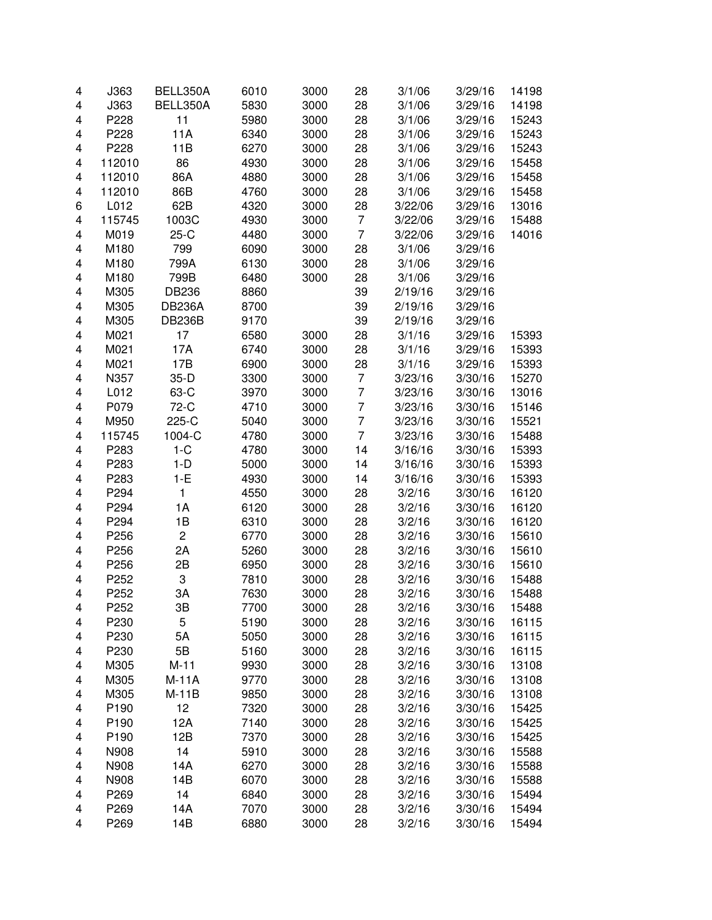| 4 | J363   | BELL350A       | 6010 | 3000 | 28             | 3/1/06           | 3/29/16 | 14198          |
|---|--------|----------------|------|------|----------------|------------------|---------|----------------|
| 4 | J363   | BELL350A       | 5830 | 3000 | 28             | 3/1/06           | 3/29/16 | 14198          |
| 4 | P228   | 11             | 5980 | 3000 | 28             | 3/1/06           | 3/29/16 | 15243          |
| 4 | P228   | 11A            | 6340 | 3000 | 28             | 3/1/06           | 3/29/16 | 15243          |
| 4 | P228   | 11B            | 6270 | 3000 | 28             | 3/1/06           | 3/29/16 | 15243          |
| 4 | 112010 | 86             | 4930 | 3000 | 28             | 3/1/06           | 3/29/16 | 15458          |
| 4 | 112010 | 86A            | 4880 | 3000 | 28             | 3/1/06           | 3/29/16 | 15458          |
| 4 | 112010 | 86B            | 4760 | 3000 | 28             | 3/1/06           | 3/29/16 | 15458          |
| 6 | L012   | 62B            | 4320 | 3000 | 28             | 3/22/06          | 3/29/16 | 13016          |
| 4 | 115745 | 1003C          | 4930 | 3000 | $\overline{7}$ | 3/22/06          | 3/29/16 | 15488          |
| 4 | M019   | $25-C$         | 4480 | 3000 | $\overline{7}$ | 3/22/06          | 3/29/16 | 14016          |
| 4 | M180   | 799            | 6090 | 3000 | 28             | 3/1/06           | 3/29/16 |                |
| 4 | M180   | 799A           | 6130 | 3000 | 28             | 3/1/06           | 3/29/16 |                |
| 4 | M180   | 799B           | 6480 | 3000 | 28             | 3/1/06           | 3/29/16 |                |
| 4 | M305   | <b>DB236</b>   | 8860 |      | 39             | 2/19/16          | 3/29/16 |                |
| 4 | M305   | <b>DB236A</b>  | 8700 |      | 39             | 2/19/16          | 3/29/16 |                |
| 4 | M305   | <b>DB236B</b>  | 9170 |      | 39             | 2/19/16          | 3/29/16 |                |
| 4 | M021   | 17             | 6580 | 3000 | 28             | 3/1/16           | 3/29/16 | 15393          |
| 4 | M021   | 17A            | 6740 | 3000 | 28             | 3/1/16           | 3/29/16 | 15393          |
| 4 | M021   | 17B            | 6900 | 3000 | 28             | 3/1/16           | 3/29/16 | 15393          |
| 4 | N357   | $35-D$         | 3300 | 3000 | $\overline{7}$ | 3/23/16          | 3/30/16 | 15270          |
| 4 | L012   | 63-C           | 3970 | 3000 | $\overline{7}$ | 3/23/16          | 3/30/16 | 13016          |
| 4 | P079   | 72-C           | 4710 | 3000 | $\overline{7}$ | 3/23/16          | 3/30/16 | 15146          |
| 4 | M950   | 225-C          | 5040 | 3000 | $\overline{7}$ | 3/23/16          | 3/30/16 | 15521          |
| 4 | 115745 | 1004-C         | 4780 | 3000 | $\overline{7}$ | 3/23/16          | 3/30/16 | 15488          |
| 4 | P283   | $1-C$          | 4780 | 3000 | 14             | 3/16/16          | 3/30/16 | 15393          |
| 4 | P283   | $1-D$          | 5000 | 3000 | 14             | 3/16/16          | 3/30/16 | 15393          |
| 4 | P283   | $1-E$          | 4930 | 3000 | 14             | 3/16/16          | 3/30/16 | 15393          |
| 4 | P294   | $\mathbf{1}$   | 4550 | 3000 | 28             | 3/2/16           | 3/30/16 | 16120          |
| 4 | P294   | 1A             | 6120 | 3000 | 28             | 3/2/16           | 3/30/16 | 16120          |
| 4 | P294   | 1B             | 6310 | 3000 | 28             | 3/2/16           | 3/30/16 | 16120          |
| 4 | P256   | $\overline{c}$ | 6770 | 3000 | 28             | 3/2/16           | 3/30/16 | 15610          |
| 4 | P256   | 2A             | 5260 | 3000 | 28             | 3/2/16           | 3/30/16 | 15610          |
| 4 | P256   | 2B             | 6950 | 3000 | 28             | 3/2/16           | 3/30/16 | 15610          |
| 4 | P252   | 3              | 7810 | 3000 | 28             | 3/2/16           | 3/30/16 | 15488          |
| 4 | P252   | 3A             | 7630 | 3000 | 28             | 3/2/16           | 3/30/16 | 15488          |
| 4 | P252   | 3B             | 7700 | 3000 | 28             | 3/2/16           | 3/30/16 | 15488          |
| 4 | P230   | 5              | 5190 | 3000 | 28             | 3/2/16           | 3/30/16 | 16115          |
| 4 | P230   | 5A             | 5050 | 3000 | 28             | 3/2/16           | 3/30/16 | 16115          |
| 4 | P230   | 5B             | 5160 | 3000 | 28             | 3/2/16           | 3/30/16 | 16115          |
| 4 | M305   | $M-11$         | 9930 | 3000 | 28             | 3/2/16           | 3/30/16 | 13108          |
| 4 | M305   | $M-11A$        | 9770 | 3000 | 28             | 3/2/16           | 3/30/16 | 13108          |
| 4 | M305   | $M-11B$        | 9850 | 3000 | 28             | 3/2/16           | 3/30/16 | 13108          |
| 4 | P190   | 12             | 7320 | 3000 | 28             | 3/2/16           | 3/30/16 | 15425          |
| 4 | P190   | 12A            | 7140 | 3000 | 28             | 3/2/16           | 3/30/16 |                |
|   | P190   | 12B            |      | 3000 | 28             |                  |         | 15425          |
| 4 |        | 14             | 7370 |      |                | 3/2/16<br>3/2/16 | 3/30/16 | 15425<br>15588 |
| 4 | N908   |                | 5910 | 3000 | 28             |                  | 3/30/16 |                |
| 4 | N908   | 14A            | 6270 | 3000 | 28             | 3/2/16           | 3/30/16 | 15588          |
| 4 | N908   | 14B            | 6070 | 3000 | 28             | 3/2/16           | 3/30/16 | 15588          |
| 4 | P269   | 14             | 6840 | 3000 | 28             | 3/2/16           | 3/30/16 | 15494          |
| 4 | P269   | 14A            | 7070 | 3000 | 28             | 3/2/16           | 3/30/16 | 15494          |
| 4 | P269   | 14B            | 6880 | 3000 | 28             | 3/2/16           | 3/30/16 | 15494          |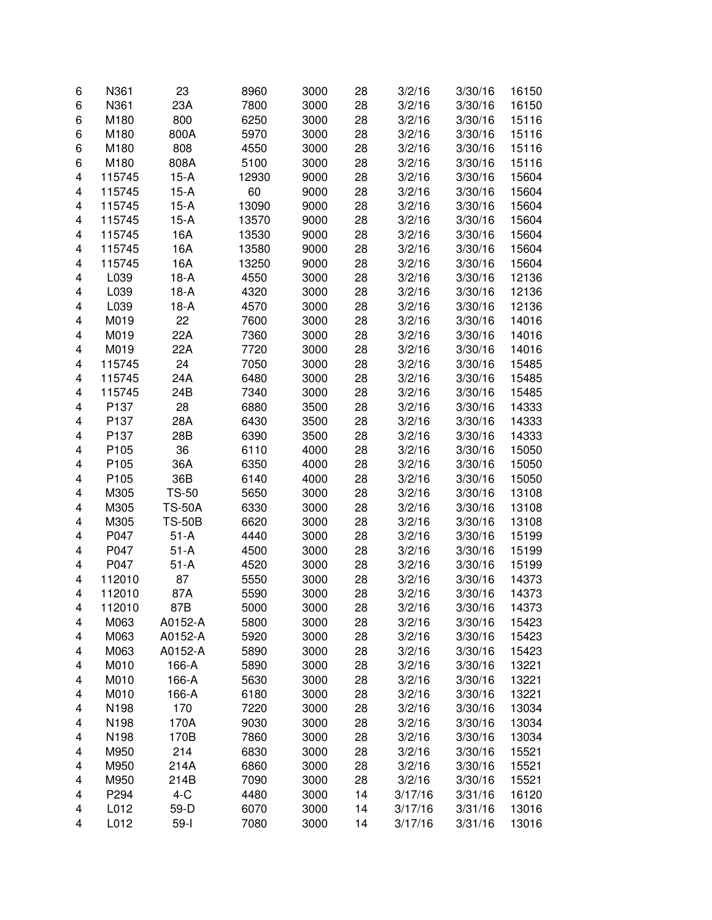| 6 | N361             | 23            | 8960  | 3000 | 28 | 3/2/16  | 3/30/16 | 16150 |
|---|------------------|---------------|-------|------|----|---------|---------|-------|
| 6 | N361             | 23A           | 7800  | 3000 | 28 | 3/2/16  | 3/30/16 | 16150 |
| 6 | M180             | 800           | 6250  | 3000 | 28 | 3/2/16  | 3/30/16 | 15116 |
| 6 | M180             | 800A          | 5970  | 3000 | 28 | 3/2/16  | 3/30/16 | 15116 |
| 6 | M180             | 808           | 4550  | 3000 | 28 | 3/2/16  | 3/30/16 | 15116 |
| 6 | M180             | 808A          | 5100  | 3000 | 28 | 3/2/16  | 3/30/16 | 15116 |
| 4 | 115745           | $15-A$        | 12930 | 9000 | 28 | 3/2/16  | 3/30/16 | 15604 |
| 4 | 115745           | $15-A$        | 60    | 9000 | 28 | 3/2/16  | 3/30/16 | 15604 |
| 4 | 115745           | $15-A$        | 13090 | 9000 | 28 | 3/2/16  | 3/30/16 | 15604 |
| 4 | 115745           | $15-A$        | 13570 | 9000 | 28 | 3/2/16  | 3/30/16 | 15604 |
| 4 | 115745           | 16A           | 13530 | 9000 | 28 | 3/2/16  | 3/30/16 | 15604 |
| 4 | 115745           | 16A           | 13580 | 9000 | 28 | 3/2/16  | 3/30/16 | 15604 |
| 4 | 115745           | 16A           | 13250 | 9000 | 28 | 3/2/16  | 3/30/16 | 15604 |
| 4 | L039             | $18-A$        | 4550  | 3000 | 28 | 3/2/16  | 3/30/16 | 12136 |
|   |                  |               |       |      |    |         |         |       |
| 4 | L039             | $18-A$        | 4320  | 3000 | 28 | 3/2/16  | 3/30/16 | 12136 |
| 4 | L039             | $18-A$        | 4570  | 3000 | 28 | 3/2/16  | 3/30/16 | 12136 |
| 4 | M019             | 22            | 7600  | 3000 | 28 | 3/2/16  | 3/30/16 | 14016 |
| 4 | M019             | 22A           | 7360  | 3000 | 28 | 3/2/16  | 3/30/16 | 14016 |
| 4 | M019             | 22A           | 7720  | 3000 | 28 | 3/2/16  | 3/30/16 | 14016 |
| 4 | 115745           | 24            | 7050  | 3000 | 28 | 3/2/16  | 3/30/16 | 15485 |
| 4 | 115745           | 24A           | 6480  | 3000 | 28 | 3/2/16  | 3/30/16 | 15485 |
| 4 | 115745           | 24B           | 7340  | 3000 | 28 | 3/2/16  | 3/30/16 | 15485 |
| 4 | P <sub>137</sub> | 28            | 6880  | 3500 | 28 | 3/2/16  | 3/30/16 | 14333 |
| 4 | P137             | 28A           | 6430  | 3500 | 28 | 3/2/16  | 3/30/16 | 14333 |
| 4 | P137             | 28B           | 6390  | 3500 | 28 | 3/2/16  | 3/30/16 | 14333 |
| 4 | P <sub>105</sub> | 36            | 6110  | 4000 | 28 | 3/2/16  | 3/30/16 | 15050 |
| 4 | P <sub>105</sub> | 36A           | 6350  | 4000 | 28 | 3/2/16  | 3/30/16 | 15050 |
| 4 | P <sub>105</sub> | 36B           | 6140  | 4000 | 28 | 3/2/16  | 3/30/16 | 15050 |
| 4 | M305             | <b>TS-50</b>  | 5650  | 3000 | 28 | 3/2/16  | 3/30/16 | 13108 |
| 4 | M305             | <b>TS-50A</b> | 6330  | 3000 | 28 | 3/2/16  | 3/30/16 | 13108 |
| 4 | M305             | <b>TS-50B</b> | 6620  | 3000 | 28 | 3/2/16  | 3/30/16 | 13108 |
| 4 | P047             | $51-A$        | 4440  | 3000 | 28 | 3/2/16  | 3/30/16 | 15199 |
| 4 | P047             | $51-A$        | 4500  | 3000 | 28 | 3/2/16  | 3/30/16 | 15199 |
| 4 | P047             | $51-A$        | 4520  | 3000 | 28 | 3/2/16  | 3/30/16 | 15199 |
| 4 | 112010           | 87            | 5550  | 3000 | 28 | 3/2/16  | 3/30/16 | 14373 |
| 4 | 112010           | 87A           | 5590  | 3000 | 28 | 3/2/16  | 3/30/16 | 14373 |
| 4 | 112010           | 87B           | 5000  | 3000 | 28 | 3/2/16  | 3/30/16 | 14373 |
| 4 | M063             | A0152-A       | 5800  | 3000 | 28 | 3/2/16  | 3/30/16 | 15423 |
| 4 | M063             | A0152-A       | 5920  | 3000 | 28 | 3/2/16  | 3/30/16 | 15423 |
| 4 | M063             | A0152-A       | 5890  | 3000 | 28 | 3/2/16  | 3/30/16 | 15423 |
| 4 | M010             | 166-A         | 5890  | 3000 | 28 | 3/2/16  | 3/30/16 | 13221 |
| 4 | M010             | 166-A         | 5630  | 3000 | 28 | 3/2/16  | 3/30/16 | 13221 |
| 4 | M010             | 166-A         | 6180  | 3000 | 28 | 3/2/16  | 3/30/16 | 13221 |
| 4 | N198             | 170           | 7220  | 3000 | 28 | 3/2/16  | 3/30/16 | 13034 |
| 4 | N198             | 170A          | 9030  | 3000 | 28 | 3/2/16  | 3/30/16 | 13034 |
| 4 | N198             | 170B          | 7860  | 3000 | 28 | 3/2/16  | 3/30/16 | 13034 |
| 4 | M950             | 214           | 6830  | 3000 | 28 | 3/2/16  | 3/30/16 | 15521 |
|   |                  | 214A          |       |      |    |         | 3/30/16 |       |
| 4 | M950             | 214B          | 6860  | 3000 | 28 | 3/2/16  |         | 15521 |
| 4 | M950             |               | 7090  | 3000 | 28 | 3/2/16  | 3/30/16 | 15521 |
| 4 | P294             | $4-C$         | 4480  | 3000 | 14 | 3/17/16 | 3/31/16 | 16120 |
| 4 | L012             | 59-D          | 6070  | 3000 | 14 | 3/17/16 | 3/31/16 | 13016 |
| 4 | L012             | $59-I$        | 7080  | 3000 | 14 | 3/17/16 | 3/31/16 | 13016 |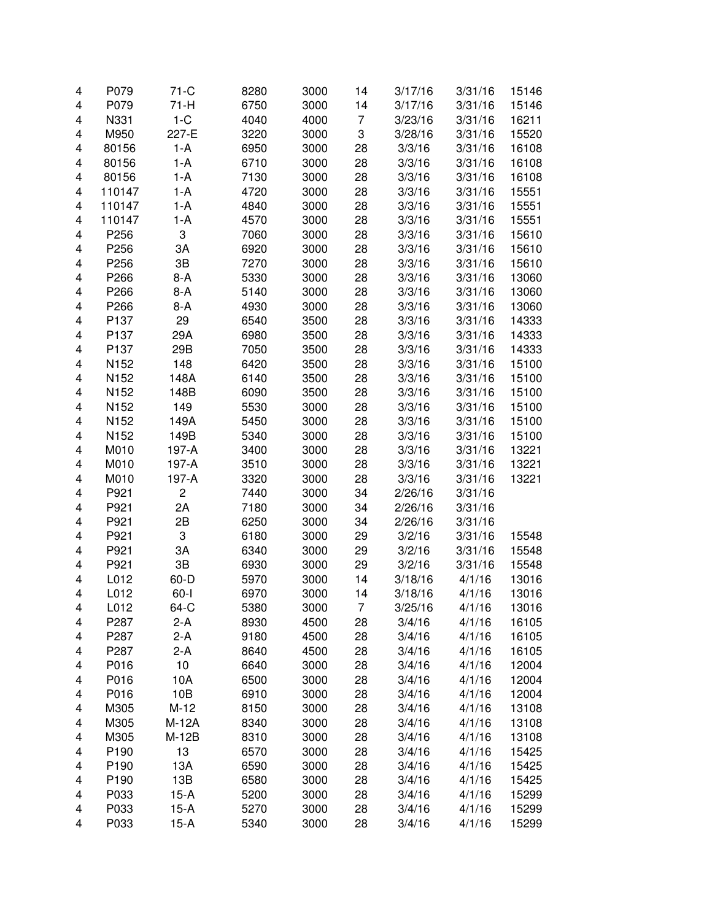| 4 | P079   | $71-C$   | 8280 | 3000 | 14             | 3/17/16 | 3/31/16 | 15146 |
|---|--------|----------|------|------|----------------|---------|---------|-------|
| 4 | P079   | $71-H$   | 6750 | 3000 | 14             | 3/17/16 | 3/31/16 | 15146 |
| 4 | N331   | $1-C$    | 4040 | 4000 | $\overline{7}$ | 3/23/16 | 3/31/16 | 16211 |
| 4 | M950   | 227-E    | 3220 | 3000 | 3              | 3/28/16 | 3/31/16 | 15520 |
| 4 | 80156  | $1-A$    | 6950 | 3000 | 28             | 3/3/16  | 3/31/16 | 16108 |
| 4 | 80156  | 1-A      | 6710 | 3000 | 28             | 3/3/16  | 3/31/16 | 16108 |
| 4 | 80156  | 1-A      | 7130 | 3000 | 28             | 3/3/16  | 3/31/16 | 16108 |
| 4 | 110147 | 1-A      | 4720 | 3000 | 28             | 3/3/16  | 3/31/16 | 15551 |
| 4 | 110147 | 1-A      | 4840 | 3000 | 28             | 3/3/16  | 3/31/16 | 15551 |
| 4 | 110147 | 1-A      | 4570 | 3000 | 28             | 3/3/16  | 3/31/16 | 15551 |
| 4 | P256   | 3        | 7060 | 3000 | 28             | 3/3/16  | 3/31/16 | 15610 |
| 4 | P256   | 3A       | 6920 | 3000 | 28             | 3/3/16  | 3/31/16 | 15610 |
| 4 | P256   | 3B       | 7270 | 3000 | 28             | 3/3/16  | 3/31/16 | 15610 |
|   |        |          |      |      |                |         |         |       |
| 4 | P266   | $8-A$    | 5330 | 3000 | 28             | 3/3/16  | 3/31/16 | 13060 |
| 4 | P266   | $8-A$    | 5140 | 3000 | 28             | 3/3/16  | 3/31/16 | 13060 |
| 4 | P266   | $8-A$    | 4930 | 3000 | 28             | 3/3/16  | 3/31/16 | 13060 |
| 4 | P137   | 29       | 6540 | 3500 | 28             | 3/3/16  | 3/31/16 | 14333 |
| 4 | P137   | 29A      | 6980 | 3500 | 28             | 3/3/16  | 3/31/16 | 14333 |
| 4 | P137   | 29B      | 7050 | 3500 | 28             | 3/3/16  | 3/31/16 | 14333 |
| 4 | N152   | 148      | 6420 | 3500 | 28             | 3/3/16  | 3/31/16 | 15100 |
| 4 | N152   | 148A     | 6140 | 3500 | 28             | 3/3/16  | 3/31/16 | 15100 |
| 4 | N152   | 148B     | 6090 | 3500 | 28             | 3/3/16  | 3/31/16 | 15100 |
| 4 | N152   | 149      | 5530 | 3000 | 28             | 3/3/16  | 3/31/16 | 15100 |
| 4 | N152   | 149A     | 5450 | 3000 | 28             | 3/3/16  | 3/31/16 | 15100 |
| 4 | N152   | 149B     | 5340 | 3000 | 28             | 3/3/16  | 3/31/16 | 15100 |
| 4 | M010   | 197-A    | 3400 | 3000 | 28             | 3/3/16  | 3/31/16 | 13221 |
| 4 | M010   | 197-A    | 3510 | 3000 | 28             | 3/3/16  | 3/31/16 | 13221 |
| 4 | M010   | 197-A    | 3320 | 3000 | 28             | 3/3/16  | 3/31/16 | 13221 |
| 4 | P921   | 2        | 7440 | 3000 | 34             | 2/26/16 | 3/31/16 |       |
| 4 | P921   | 2A       | 7180 | 3000 | 34             | 2/26/16 | 3/31/16 |       |
| 4 | P921   | 2B       | 6250 | 3000 | 34             | 2/26/16 | 3/31/16 |       |
| 4 | P921   | 3        | 6180 | 3000 | 29             | 3/2/16  | 3/31/16 | 15548 |
| 4 | P921   | 3A       | 6340 | 3000 | 29             | 3/2/16  | 3/31/16 | 15548 |
| 4 | P921   | 3B       | 6930 | 3000 | 29             | 3/2/16  | 3/31/16 | 15548 |
| 4 | L012   | 60-D     | 5970 | 3000 | 14             | 3/18/16 | 4/1/16  | 13016 |
| 4 | L012   | $60 - 1$ | 6970 | 3000 | 14             | 3/18/16 | 4/1/16  | 13016 |
| 4 | L012   | 64-C     | 5380 | 3000 | 7              | 3/25/16 | 4/1/16  | 13016 |
| 4 | P287   | $2-A$    | 8930 | 4500 | 28             | 3/4/16  | 4/1/16  | 16105 |
| 4 | P287   | $2-A$    | 9180 | 4500 | 28             | 3/4/16  | 4/1/16  | 16105 |
| 4 | P287   | $2-A$    | 8640 | 4500 | 28             | 3/4/16  | 4/1/16  | 16105 |
| 4 | P016   | 10       | 6640 | 3000 | 28             | 3/4/16  | 4/1/16  | 12004 |
| 4 | P016   | 10A      | 6500 | 3000 | 28             | 3/4/16  | 4/1/16  | 12004 |
| 4 | P016   | 10B      | 6910 | 3000 | 28             | 3/4/16  | 4/1/16  | 12004 |
| 4 | M305   | $M-12$   | 8150 | 3000 | 28             | 3/4/16  | 4/1/16  | 13108 |
| 4 | M305   | M-12A    | 8340 | 3000 | 28             | 3/4/16  | 4/1/16  | 13108 |
| 4 | M305   | $M-12B$  | 8310 | 3000 | 28             | 3/4/16  | 4/1/16  | 13108 |
|   |        |          |      |      |                |         |         |       |
| 4 | P190   | 13       | 6570 | 3000 | 28             | 3/4/16  | 4/1/16  | 15425 |
| 4 | P190   | 13A      | 6590 | 3000 | 28             | 3/4/16  | 4/1/16  | 15425 |
| 4 | P190   | 13B      | 6580 | 3000 | 28             | 3/4/16  | 4/1/16  | 15425 |
| 4 | P033   | $15-A$   | 5200 | 3000 | 28             | 3/4/16  | 4/1/16  | 15299 |
| 4 | P033   | $15-A$   | 5270 | 3000 | 28             | 3/4/16  | 4/1/16  | 15299 |
| 4 | P033   | $15-A$   | 5340 | 3000 | 28             | 3/4/16  | 4/1/16  | 15299 |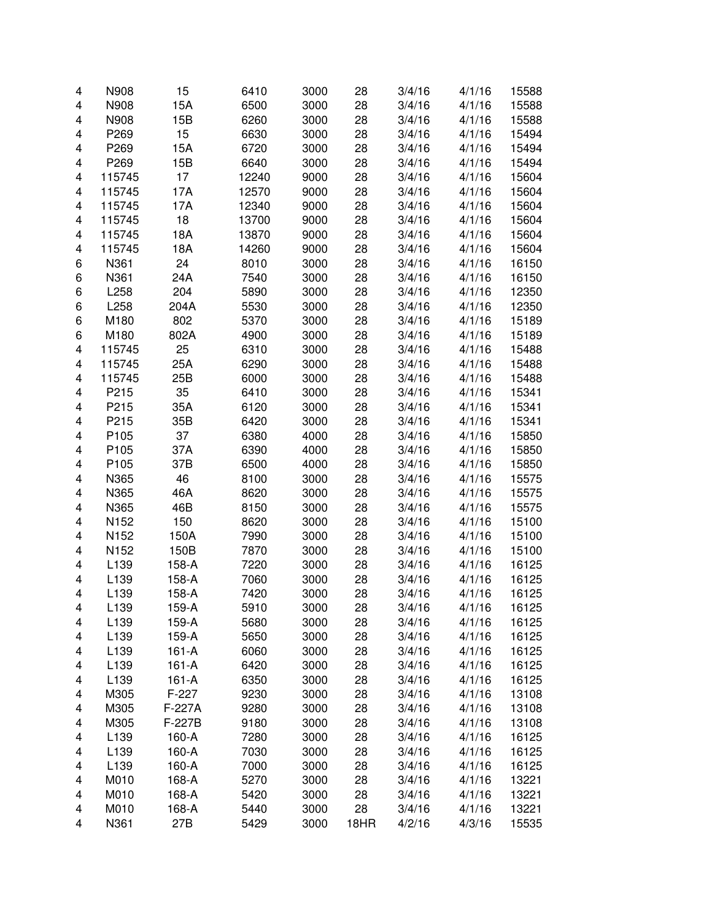| 4 | N908             | 15        | 6410  | 3000 | 28   | 3/4/16 | 4/1/16 | 15588 |
|---|------------------|-----------|-------|------|------|--------|--------|-------|
| 4 | N908             | 15A       | 6500  | 3000 | 28   | 3/4/16 | 4/1/16 | 15588 |
| 4 | N908             | 15B       | 6260  | 3000 | 28   | 3/4/16 | 4/1/16 | 15588 |
| 4 | P269             | 15        | 6630  | 3000 | 28   | 3/4/16 | 4/1/16 | 15494 |
| 4 | P269             | 15A       | 6720  | 3000 | 28   | 3/4/16 | 4/1/16 | 15494 |
| 4 | P269             | 15B       | 6640  | 3000 | 28   | 3/4/16 | 4/1/16 | 15494 |
| 4 | 115745           | 17        | 12240 | 9000 | 28   | 3/4/16 | 4/1/16 | 15604 |
| 4 | 115745           | 17A       | 12570 | 9000 | 28   | 3/4/16 | 4/1/16 | 15604 |
| 4 | 115745           | 17A       | 12340 | 9000 | 28   | 3/4/16 | 4/1/16 | 15604 |
| 4 | 115745           | 18        | 13700 | 9000 | 28   | 3/4/16 | 4/1/16 | 15604 |
| 4 | 115745           | 18A       | 13870 | 9000 | 28   | 3/4/16 | 4/1/16 | 15604 |
| 4 | 115745           | 18A       | 14260 | 9000 | 28   | 3/4/16 | 4/1/16 | 15604 |
| 6 | N361             | 24        | 8010  | 3000 | 28   | 3/4/16 | 4/1/16 | 16150 |
| 6 | N361             | 24A       | 7540  | 3000 | 28   | 3/4/16 | 4/1/16 | 16150 |
| 6 | L258             | 204       | 5890  | 3000 | 28   | 3/4/16 | 4/1/16 | 12350 |
|   | L258             | 204A      | 5530  |      | 28   | 3/4/16 | 4/1/16 | 12350 |
| 6 |                  |           |       | 3000 |      |        |        |       |
| 6 | M180             | 802       | 5370  | 3000 | 28   | 3/4/16 | 4/1/16 | 15189 |
| 6 | M180             | 802A      | 4900  | 3000 | 28   | 3/4/16 | 4/1/16 | 15189 |
| 4 | 115745           | 25        | 6310  | 3000 | 28   | 3/4/16 | 4/1/16 | 15488 |
| 4 | 115745           | 25A       | 6290  | 3000 | 28   | 3/4/16 | 4/1/16 | 15488 |
| 4 | 115745           | 25B       | 6000  | 3000 | 28   | 3/4/16 | 4/1/16 | 15488 |
| 4 | P215             | 35        | 6410  | 3000 | 28   | 3/4/16 | 4/1/16 | 15341 |
| 4 | P215             | 35A       | 6120  | 3000 | 28   | 3/4/16 | 4/1/16 | 15341 |
| 4 | P215             | 35B       | 6420  | 3000 | 28   | 3/4/16 | 4/1/16 | 15341 |
| 4 | P <sub>105</sub> | 37        | 6380  | 4000 | 28   | 3/4/16 | 4/1/16 | 15850 |
| 4 | P <sub>105</sub> | 37A       | 6390  | 4000 | 28   | 3/4/16 | 4/1/16 | 15850 |
| 4 | P <sub>105</sub> | 37B       | 6500  | 4000 | 28   | 3/4/16 | 4/1/16 | 15850 |
| 4 | N365             | 46        | 8100  | 3000 | 28   | 3/4/16 | 4/1/16 | 15575 |
| 4 | N365             | 46A       | 8620  | 3000 | 28   | 3/4/16 | 4/1/16 | 15575 |
| 4 | N365             | 46B       | 8150  | 3000 | 28   | 3/4/16 | 4/1/16 | 15575 |
| 4 | N152             | 150       | 8620  | 3000 | 28   | 3/4/16 | 4/1/16 | 15100 |
| 4 | N152             | 150A      | 7990  | 3000 | 28   | 3/4/16 | 4/1/16 | 15100 |
| 4 | N152             | 150B      | 7870  | 3000 | 28   | 3/4/16 | 4/1/16 | 15100 |
| 4 | L139             | 158-A     | 7220  | 3000 | 28   | 3/4/16 | 4/1/16 | 16125 |
| 4 | L139             | 158-A     | 7060  | 3000 | 28   | 3/4/16 | 4/1/16 | 16125 |
| 4 | L139             | 158-A     | 7420  | 3000 | 28   | 3/4/16 | 4/1/16 | 16125 |
| 4 | L <sub>139</sub> | 159-A     | 5910  | 3000 | 28   | 3/4/16 | 4/1/16 | 16125 |
| 4 | L139             | 159-A     | 5680  | 3000 | 28   | 3/4/16 | 4/1/16 | 16125 |
| 4 | L139             | 159-A     | 5650  | 3000 | 28   | 3/4/16 | 4/1/16 | 16125 |
| 4 | L139             | 161-A     | 6060  | 3000 | 28   | 3/4/16 | 4/1/16 | 16125 |
| 4 | L139             | $161 - A$ | 6420  | 3000 | 28   | 3/4/16 | 4/1/16 | 16125 |
| 4 | L139             | $161 - A$ | 6350  | 3000 | 28   | 3/4/16 | 4/1/16 | 16125 |
| 4 | M305             | $F-227$   | 9230  | 3000 | 28   | 3/4/16 | 4/1/16 | 13108 |
| 4 | M305             | F-227A    | 9280  | 3000 | 28   | 3/4/16 | 4/1/16 | 13108 |
| 4 | M305             | F-227B    | 9180  | 3000 | 28   | 3/4/16 | 4/1/16 | 13108 |
| 4 | L139             | 160-A     | 7280  | 3000 | 28   | 3/4/16 | 4/1/16 | 16125 |
| 4 | L139             | 160-A     | 7030  | 3000 | 28   | 3/4/16 | 4/1/16 | 16125 |
| 4 | L139             | 160-A     | 7000  | 3000 | 28   | 3/4/16 | 4/1/16 | 16125 |
| 4 | M010             | 168-A     | 5270  | 3000 | 28   | 3/4/16 | 4/1/16 | 13221 |
| 4 | M010             | 168-A     | 5420  | 3000 | 28   | 3/4/16 | 4/1/16 | 13221 |
| 4 | M010             | 168-A     | 5440  | 3000 | 28   | 3/4/16 | 4/1/16 | 13221 |
|   |                  |           |       |      |      |        |        |       |
| 4 | N361             | 27B       | 5429  | 3000 | 18HR | 4/2/16 | 4/3/16 | 15535 |